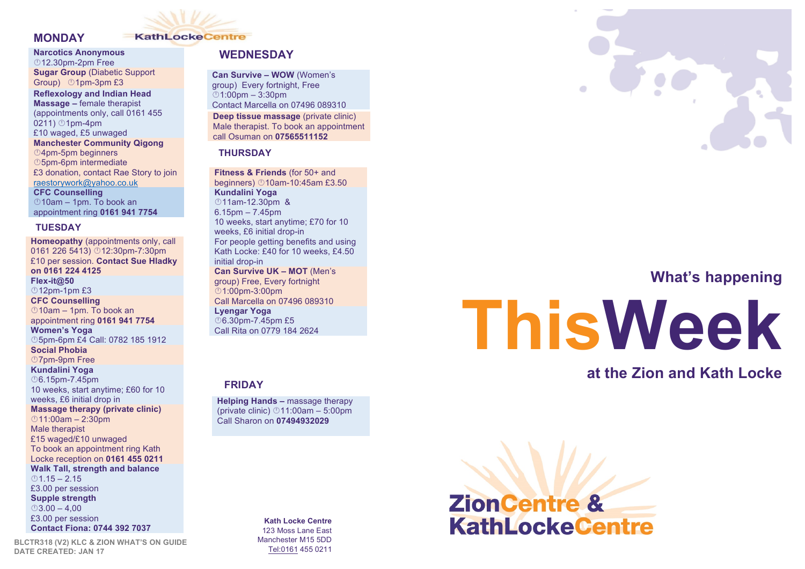

### **MONDAY**

### **Narcotics Anonymous**

©12.30pm-2pm Free **Sugar Group** (Diabetic Support Group) ©1pm-3pm £3

**Reflexology and Indian Head Massage –** female therapist (appointments only, call 0161 455  $0211)$   $01$ pm-4pm £10 waged, £5 unwaged **Manchester Community Qigong <sup>1</sup>4pm-5pm beginners <b>***O5pm-6pm intermediate* £3 donation, contact Rae Story to join raestorywork@yahoo.co.uk **CFC Counselling**   $\degree$ 10am – 1pm. To book an appointment ring **0161 941 7754**

### **TUESDAY**

**Homeopathy** (appointments only, call 0161 226 5413) **12:30pm-7:30pm** £10 per session. **Contact Sue Hladky on 0161 224 4125 Flex-it@50**  $<sup>0</sup>12<sub>pm-1</sub>$ pm £3</sup> **CFC Counselling**   $\degree$ 10am – 1pm. To book an appointment ring **0161 941 7754 Women's Yoga** ©5pm-6pm £4 Call: 0782 185 1912 **Social Phobia <sup></sub>D7pm-9pm Free**</sup> **Kundalini Yoga** Â6.15pm-7.45pm 10 weeks, start anytime; £60 for 10 weeks, £6 initial drop in **Massage therapy (private clinic)**  $011:00$ am – 2:30pm Male therapist £15 waged/£10 unwaged To book an appointment ring Kath Locke reception on **0161 455 0211 Walk Tall, strength and balance**  $()1.15 - 2.15$ £3.00 per session **Supple strength**  $\odot$ 3.00 – 4,00 £3.00 per session **Contact Fiona: 0744 392 7037**

**BLCTR318 (V2) KLC & ZION WHAT'S ON GUIDE DATE CREATED: JAN 17**

### **WEDNESDAY**

**Can Survive – WOW** (Women's **cont.**group) Every fortnight, Free  $\degree$ 1:00pm – 3:30pm Contact Marcella on 07496 089310 **Deep tissue massage** (private clinic) Male therapist. To book an appointment call Osuman on **07565511152**

### **THURSDAY**

**Fitness & Friends** (for 50+ and beginners) Â10am-10:45am £3.50 **Kundalini Yoga 11am-12.30pm &** 6.15pm – 7.45pm 10 weeks, start anytime; £70 for 10 weeks, £6 initial drop-in For people getting benefits and using Kath Locke: £40 for 10 weeks, £4.50 initial drop-in **Can Survive UK – MOT** (Men's group) Free, Every fortnight Â1:00pm-3:00pm Call Marcella on 07496 089310 **Lyengar Yoga** ©6.30pm-7.45pm £5 Call Rita on 0779 184 2624

### **FRIDAY**

**Helping Hands –** massage therapy (private clinic)  $@11:00am - 5:00pm$ Call Sharon on **07494932029**

> **Kath Locke Centre** 123 Moss Lane East Manchester M15 5DD Tel:0161 455 0211



# **What's happening**

# **ThisWeek**

# **at the Zion and Kath Locke**